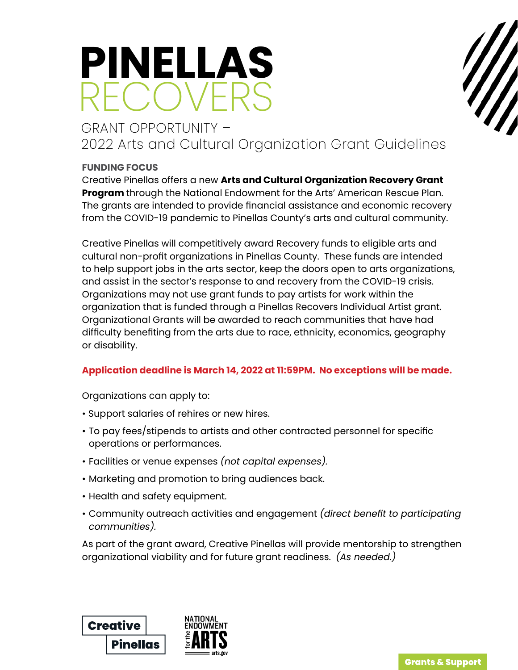# **PINELLAS** RECOVERS

# GRANT OPPORTUNITY – 2022 Arts and Cultural Organization Grant Guidelines

# **FUNDING FOCUS**

Creative Pinellas offers a new **Arts and Cultural Organization Recovery Grant Program** through the National Endowment for the Arts' American Rescue Plan. The grants are intended to provide financial assistance and economic recovery from the COVID-19 pandemic to Pinellas County's arts and cultural community.

Creative Pinellas will competitively award Recovery funds to eligible arts and cultural non-profit organizations in Pinellas County. These funds are intended to help support jobs in the arts sector, keep the doors open to arts organizations, and assist in the sector's response to and recovery from the COVID-19 crisis. Organizations may not use grant funds to pay artists for work within the organization that is funded through a Pinellas Recovers Individual Artist grant. Organizational Grants will be awarded to reach communities that have had difficulty benefiting from the arts due to race, ethnicity, economics, geography or disability.

# **Application deadline is March 14, 2022 at 11:59PM. No exceptions will be made.**

Organizations can apply to:

- Support salaries of rehires or new hires.
- To pay fees/stipends to artists and other contracted personnel for specific operations or performances.
- Facilities or venue expenses *(not capital expenses).*
- Marketing and promotion to bring audiences back.
- Health and safety equipment.
- Community outreach activities and engagement *(direct benefit to participating communities).*

As part of the grant award, Creative Pinellas will provide mentorship to strengthen organizational viability and for future grant readiness. *(As needed.)*



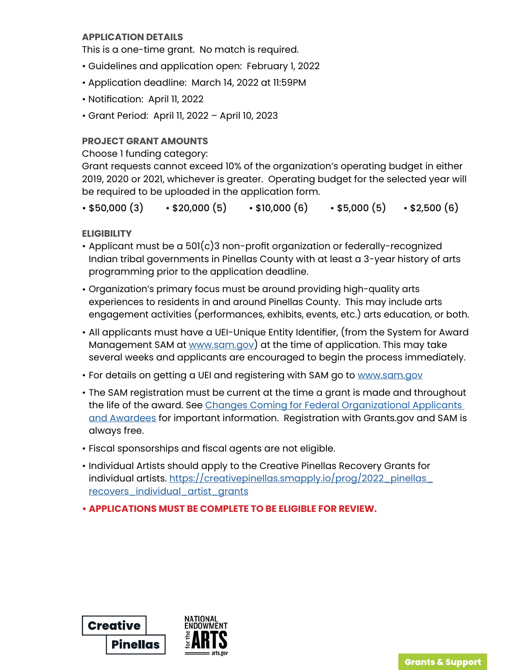#### **APPLICATION DETAILS**

This is a one-time grant. No match is required.

- Guidelines and application open: February 1, 2022
- Application deadline: March 14, 2022 at 11:59PM
- Notification: April 11, 2022
- Grant Period: April 11, 2022 April 10, 2023

#### **PROJECT GRANT AMOUNTS**

Choose 1 funding category:

Grant requests cannot exceed 10% of the organization's operating budget in either 2019, 2020 or 2021, whichever is greater. Operating budget for the selected year will be required to be uploaded in the application form.

 $\cdot$  \$50,000 (3)  $\cdot$  \$20,000 (5)  $\cdot$  \$10,000 (6)  $\cdot$  \$5,000 (5)  $\cdot$  \$2,500 (6)

**ELIGIBILITY** 

- Applicant must be a 501(c)3 non-profit organization or federally-recognized Indian tribal governments in Pinellas County with at least a 3-year history of arts programming prior to the application deadline.
- Organization's primary focus must be around providing high-quality arts experiences to residents in and around Pinellas County. This may include arts engagement activities (performances, exhibits, events, etc.) arts education, or both.
- All applicants must have a UEI-Unique Entity Identifier, (from the System for Award Management SAM at [www.sam.gov](http://www.sam.gov)) at the time of application. This may take several weeks and applicants are encouraged to begin the process immediately.
- For details on getting a UEI and registering with SAM go to [www.sam.gov](http://www.sam.gov)
- The SAM registration must be current at the time a grant is made and throughout the life of the award. See Changes Coming for Federal Organizational Applicants [and Awardees](https://www.arts.gov/grants/changes-coming-for-federal-organizational-applicants-and-awardees) for important information. Registration with Grants.gov and SAM is always free.
- Fiscal sponsorships and fiscal agents are not eligible.
- Individual Artists should apply to the Creative Pinellas Recovery Grants for individual artists. [https://creativepinellas.smapply.io/prog/2022\\_pinellas\\_](https://creativepinellas.smapply.io/prog/2022_pinellas_recovers_individual_artist_grants) [recovers\\_individual\\_artist\\_grants](https://creativepinellas.smapply.io/prog/2022_pinellas_recovers_individual_artist_grants)
- **• APPLICATIONS MUST BE COMPLETE TO BE ELIGIBLE FOR REVIEW.**



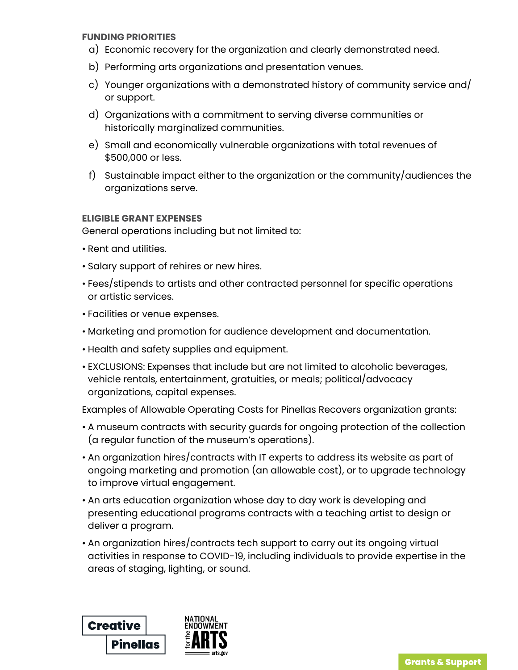#### **FUNDING PRIORITIES**

- a) Economic recovery for the organization and clearly demonstrated need.
- b) Performing arts organizations and presentation venues.
- c) Younger organizations with a demonstrated history of community service and/ or support.
- d) Organizations with a commitment to serving diverse communities or historically marginalized communities.
- e) Small and economically vulnerable organizations with total revenues of \$500,000 or less.
- f) Sustainable impact either to the organization or the community/audiences the organizations serve.

#### **ELIGIBLE GRANT EXPENSES**

General operations including but not limited to:

- Rent and utilities.
- Salary support of rehires or new hires.
- Fees/stipends to artists and other contracted personnel for specific operations or artistic services.
- Facilities or venue expenses.
- Marketing and promotion for audience development and documentation.
- Health and safety supplies and equipment.
- EXCLUSIONS: Expenses that include but are not limited to alcoholic beverages, vehicle rentals, entertainment, gratuities, or meals; political/advocacy organizations, capital expenses.

Examples of Allowable Operating Costs for Pinellas Recovers organization grants:

- A museum contracts with security guards for ongoing protection of the collection (a regular function of the museum's operations).
- An organization hires/contracts with IT experts to address its website as part of ongoing marketing and promotion (an allowable cost), or to upgrade technology to improve virtual engagement.
- An arts education organization whose day to day work is developing and presenting educational programs contracts with a teaching artist to design or deliver a program.
- An organization hires/contracts tech support to carry out its ongoing virtual activities in response to COVID-19, including individuals to provide expertise in the areas of staging, lighting, or sound.

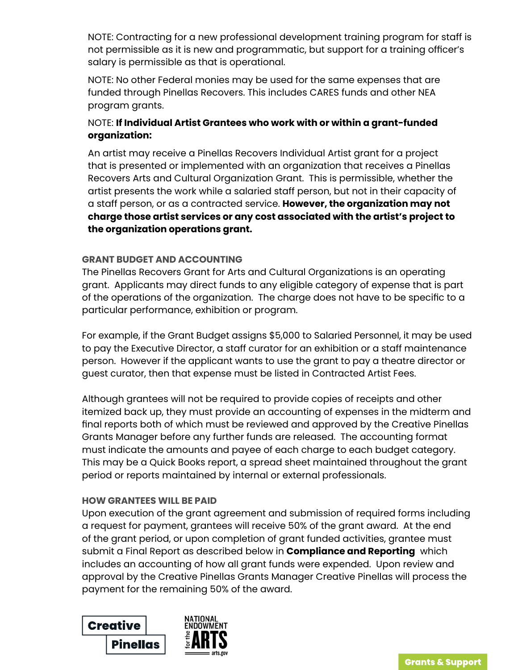NOTE: Contracting for a new professional development training program for staff is not permissible as it is new and programmatic, but support for a training officer's salary is permissible as that is operational.

NOTE: No other Federal monies may be used for the same expenses that are funded through Pinellas Recovers. This includes CARES funds and other NEA program grants.

# NOTE: **If Individual Artist Grantees who work with or within a grant-funded organization:**

An artist may receive a Pinellas Recovers Individual Artist grant for a project that is presented or implemented with an organization that receives a Pinellas Recovers Arts and Cultural Organization Grant. This is permissible, whether the artist presents the work while a salaried staff person, but not in their capacity of a staff person, or as a contracted service. **However, the organization may not charge those artist services or any cost associated with the artist's project to the organization operations grant.**

#### **GRANT BUDGET AND ACCOUNTING**

The Pinellas Recovers Grant for Arts and Cultural Organizations is an operating grant. Applicants may direct funds to any eligible category of expense that is part of the operations of the organization. The charge does not have to be specific to a particular performance, exhibition or program.

For example, if the Grant Budget assigns \$5,000 to Salaried Personnel, it may be used to pay the Executive Director, a staff curator for an exhibition or a staff maintenance person. However if the applicant wants to use the grant to pay a theatre director or guest curator, then that expense must be listed in Contracted Artist Fees.

Although grantees will not be required to provide copies of receipts and other itemized back up, they must provide an accounting of expenses in the midterm and final reports both of which must be reviewed and approved by the Creative Pinellas Grants Manager before any further funds are released. The accounting format must indicate the amounts and payee of each charge to each budget category. This may be a Quick Books report, a spread sheet maintained throughout the grant period or reports maintained by internal or external professionals.

#### **HOW GRANTEES WILL BE PAID**

Upon execution of the grant agreement and submission of required forms including a request for payment, grantees will receive 50% of the grant award. At the end of the grant period, or upon completion of grant funded activities, grantee must submit a Final Report as described below in **Compliance and Reporting** which includes an accounting of how all grant funds were expended. Upon review and approval by the Creative Pinellas Grants Manager Creative Pinellas will process the payment for the remaining 50% of the award.

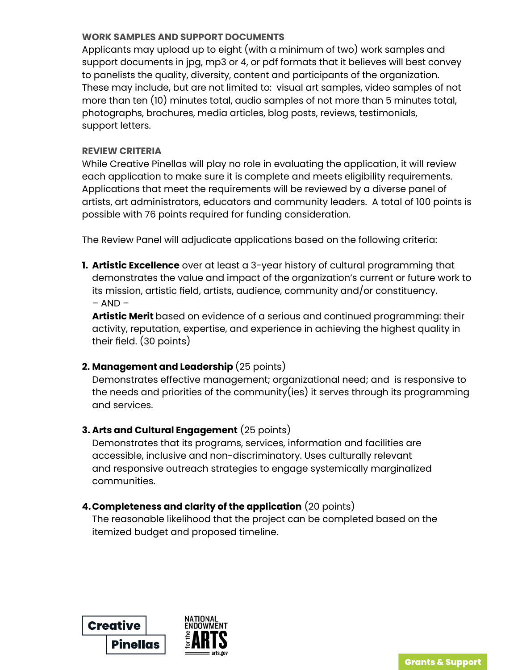#### **WORK SAMPLES AND SUPPORT DOCUMENTS**

Applicants may upload up to eight (with a minimum of two) work samples and support documents in jpg, mp3 or 4, or pdf formats that it believes will best convey to panelists the quality, diversity, content and participants of the organization. These may include, but are not limited to: visual art samples, video samples of not more than ten (10) minutes total, audio samples of not more than 5 minutes total, photographs, brochures, media articles, blog posts, reviews, testimonials, support letters.

#### **REVIEW CRITERIA**

While Creative Pinellas will play no role in evaluating the application, it will review each application to make sure it is complete and meets eligibility requirements. Applications that meet the requirements will be reviewed by a diverse panel of artists, art administrators, educators and community leaders. A total of 100 points is possible with 76 points required for funding consideration.

The Review Panel will adjudicate applications based on the following criteria:

**1. Artistic Excellence** over at least a 3-year history of cultural programming that demonstrates the value and impact of the organization's current or future work to its mission, artistic field, artists, audience, community and/or constituency.  $-$  AND  $-$ 

**Artistic Merit** based on evidence of a serious and continued programming: their activity, reputation, expertise, and experience in achieving the highest quality in their field. (30 points)

# **2. Management and Leadership** (25 points)

Demonstrates effective management; organizational need; and is responsive to the needs and priorities of the community(ies) it serves through its programming and services.

# **3. Arts and Cultural Engagement** (25 points)

Demonstrates that its programs, services, information and facilities are accessible, inclusive and non-discriminatory. Uses culturally relevant and responsive outreach strategies to engage systemically marginalized communities.

# **4.Completeness and clarity of the application** (20 points)

The reasonable likelihood that the project can be completed based on the itemized budget and proposed timeline.

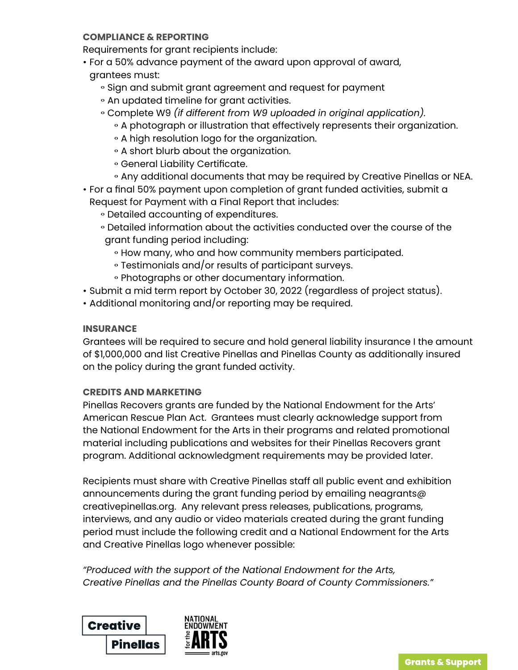#### **COMPLIANCE & REPORTING**

Requirements for grant recipients include:

- For a 50% advance payment of the award upon approval of award, grantees must:
	- Sign and submit grant agreement and request for payment
	- An updated timeline for grant activities.
	- gComplete W9 *(if different from W9 uploaded in original application).*
		- A photograph or illustration that effectively represents their organization.
		- A high resolution logo for the organization.
		- A short blurb about the organization.
		- **General Liability Certificate.**
		- o Any additional documents that may be required by Creative Pinellas or NEA.
- For a final 50% payment upon completion of grant funded activities, submit a Request for Payment with a Final Report that includes:
	- $\circ$  Detailed accounting of expenditures.
	- $\circ$  Detailed information about the activities conducted over the course of the grant funding period including:
		- How many, who and how community members participated.
		- Testimonials and/or results of participant surveys.
		- Photographs or other documentary information.
- Submit a mid term report by October 30, 2022 (regardless of project status).
- Additional monitoring and/or reporting may be required.

#### **INSURANCE**

Grantees will be required to secure and hold general liability insurance I the amount of \$1,000,000 and list Creative Pinellas and Pinellas County as additionally insured on the policy during the grant funded activity.

#### **CREDITS AND MARKETING**

Pinellas Recovers grants are funded by the National Endowment for the Arts' American Rescue Plan Act. Grantees must clearly acknowledge support from the National Endowment for the Arts in their programs and related promotional material including publications and websites for their Pinellas Recovers grant program. Additional acknowledgment requirements may be provided later.

Recipients must share with Creative Pinellas staff all public event and exhibition announcements during the grant funding period by emailing neagrants@ creativepinellas.org. Any relevant press releases, publications, programs, interviews, and any audio or video materials created during the grant funding period must include the following credit and a National Endowment for the Arts and Creative Pinellas logo whenever possible:

*"Produced with the support of the National Endowment for the Arts, Creative Pinellas and the Pinellas County Board of County Commissioners."*